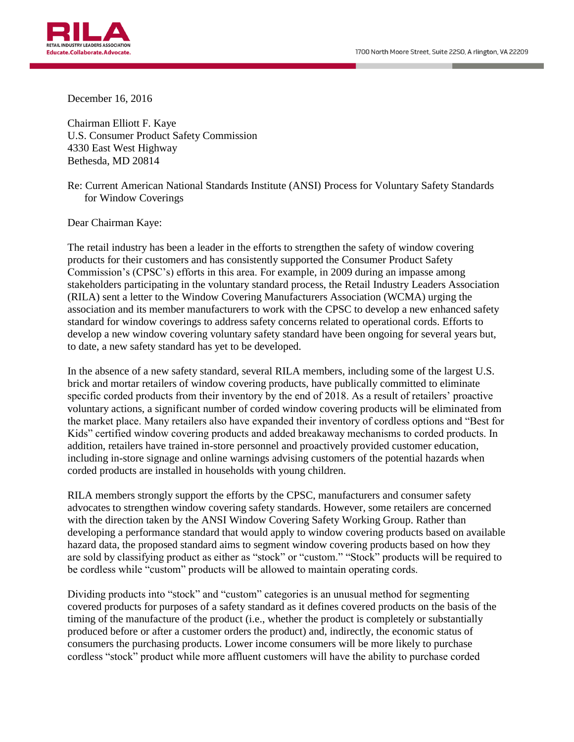

December 16, 2016

Chairman Elliott F. Kaye U.S. Consumer Product Safety Commission 4330 East West Highway Bethesda, MD 20814

Re: Current American National Standards Institute (ANSI) Process for Voluntary Safety Standards for Window Coverings

Dear Chairman Kaye:

The retail industry has been a leader in the efforts to strengthen the safety of window covering products for their customers and has consistently supported the Consumer Product Safety Commission's (CPSC's) efforts in this area. For example, in 2009 during an impasse among stakeholders participating in the voluntary standard process, the Retail Industry Leaders Association (RILA) sent a letter to the Window Covering Manufacturers Association (WCMA) urging the association and its member manufacturers to work with the CPSC to develop a new enhanced safety standard for window coverings to address safety concerns related to operational cords. Efforts to develop a new window covering voluntary safety standard have been ongoing for several years but, to date, a new safety standard has yet to be developed.

In the absence of a new safety standard, several RILA members, including some of the largest U.S. brick and mortar retailers of window covering products, have publically committed to eliminate specific corded products from their inventory by the end of 2018. As a result of retailers' proactive voluntary actions, a significant number of corded window covering products will be eliminated from the market place. Many retailers also have expanded their inventory of cordless options and "Best for Kids" certified window covering products and added breakaway mechanisms to corded products. In addition, retailers have trained in-store personnel and proactively provided customer education, including in-store signage and online warnings advising customers of the potential hazards when corded products are installed in households with young children.

RILA members strongly support the efforts by the CPSC, manufacturers and consumer safety advocates to strengthen window covering safety standards. However, some retailers are concerned with the direction taken by the ANSI Window Covering Safety Working Group. Rather than developing a performance standard that would apply to window covering products based on available hazard data, the proposed standard aims to segment window covering products based on how they are sold by classifying product as either as "stock" or "custom." "Stock" products will be required to be cordless while "custom" products will be allowed to maintain operating cords.

Dividing products into "stock" and "custom" categories is an unusual method for segmenting covered products for purposes of a safety standard as it defines covered products on the basis of the timing of the manufacture of the product (i.e., whether the product is completely or substantially produced before or after a customer orders the product) and, indirectly, the economic status of consumers the purchasing products. Lower income consumers will be more likely to purchase cordless "stock" product while more affluent customers will have the ability to purchase corded